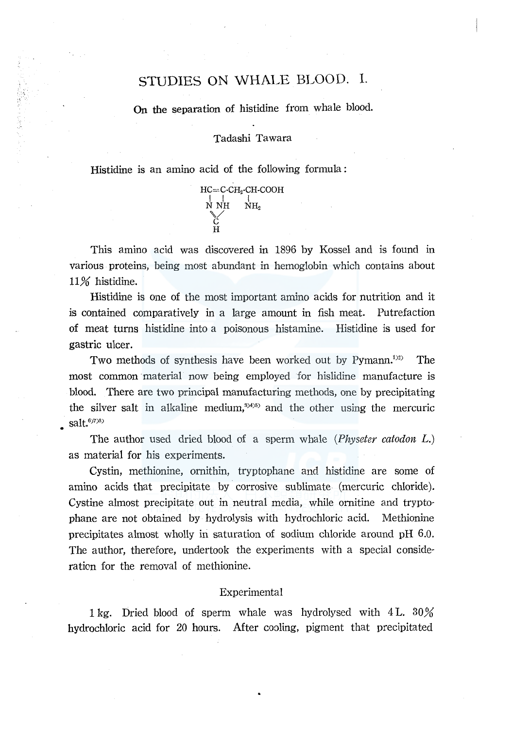# STUDIES ON WHALE BLOOD. I.

On the separation of histidine from whale blood.

Tadashi Tawara

HC=C-CH<sub>2</sub>-CH-COOH

 $\bigcup_{\substack{N \text{}}{\sim}}^{\mathsf{I}} \mathbb{N}_{\mathrm{H}_2} \quad \mathbb{N}_{\mathrm{H}_2}$ 

Histidine is an amino acid of the following formula :

H

This amino acid was discovered in 1896 by Kossel and is found in various proteins, being most abundant in hemoglobin which contains about 11% histidine.

Histidine is one of the most important amino acids for nutrition and it is contained comparatively in a large amount in fish meat. Putrefaction of meat turns histidine into a poisonous histamine. Histidine is used for gastric ulcer.

Two methods of synthesis have been worked out by Pymann.<sup>1)2)</sup> m The most common material now being employed for hislidine manufacture is blood. There are two principal manufacturing methods, one by precipitating the silver salt in alkaline medium,<sup>3945</sup> and the other using the mercuric salt.<sup>6)7)8)</sup>

The author used dried blood of a sperm whale *(Physeter catodon* L.) as material for his experiments.

Cystin, methionine, ornithin, tryptophane and histidine are some of amino acids that precipitate by corrosive sublimate (mercuric chloride). Cystine almost precipitate out in neutral media, while ornitine and tryptophane are not obtained by hydrolysis with hydrochloric acid. Methionine precipitates almost wholly in saturation of sodium chloride around pH 6.0. The author, therefore, undertook the experiments with a special consideration for the removal of methionine.

# Experimental

1 kg. Dried blood of sperm whale was hydrolysed with 4 L.  $30\%$ hydrochloric acid for 20 hours. After cooling, pigment that precipitated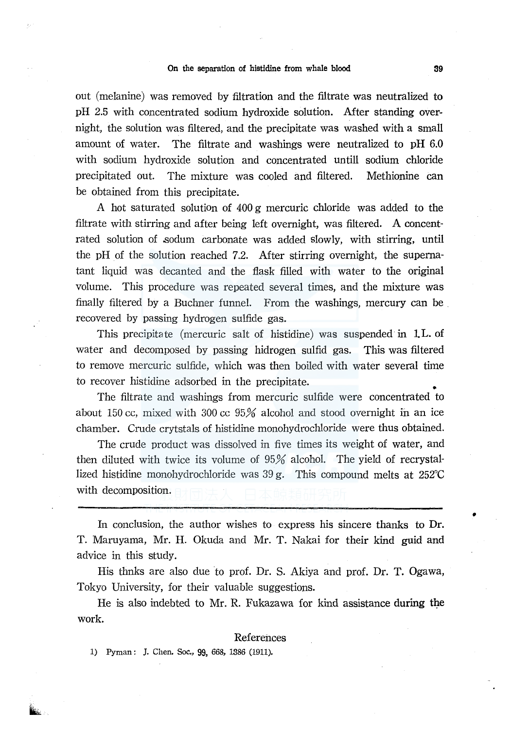out (melanine) was removed by filtration and the filtrate was neutralized to pH 2.5 with concentrated sodium hydroxide solution. After standing overnight, the solution was filtered, and the precipitate was washed with a small amount of water. The filtrate and washings were neutralized to pH 6.0 with sodium hydroxide solution and concentrated untill sodium chloride precipitated out. The mixture was cooled and filtered. Methionine can be obtained from this precipitate.

A hot saturated solution of 400 g mercuric chloride was added to the filtrate with stirring and after being left overnight, was filtered. A concentrated solution of .sodum carbonate was added slowly, with stirring, until the pH of the solution reached 7.2. After stirring overnight, the supernatant liquid was decanted and the flask filled with water to the original volume. This procedure was repeated several times, and the mixture was finally filtered by a Buchner funnel. From the washings, mercury can be . recovered by passing hydrogen sulfide gas.

This precipitate (mercuric salt of histidine) was suspended in 1.L. of water and decomposed by passing hidrogen sulfid gas. This was filtered to remove mercuric sulfide, which was then boiled with water several time to recover histidine adsorbed in the precipitate. •

The filtrate and washings from mercuric sulfide were concentrated to about 150 cc, mixed with 300 cc  $95\%$  alcohol and stood overnight in an ice chamber. Crude crytstals of histidine monohydrochloride were thus obtained.

The crude product was dissolved in five times its weight of water, and then diluted with twice its volume of 95% alcohol. The yield of recrystallized histidine monohydrochloride was 39 g. This compound melts at 252°C with decomposition.

In conclusion, the author wishes to express his sincere thanks to Dr. T. Maruyama, Mr. H. Okuda and Mr. T. Nakai for their kind guid and advice in this study.

His thnks are also due to prof. Dr. S. Akiya and prof. Dr. T. Ogawa, Tokyo University, for their valuable suggestions.

He is also indebted to Mr. R. Fukazawa for kind assistance during the work.

### References

1) Pyman: J. Chen. Soc., 99, 668, 1386 (1911).

•